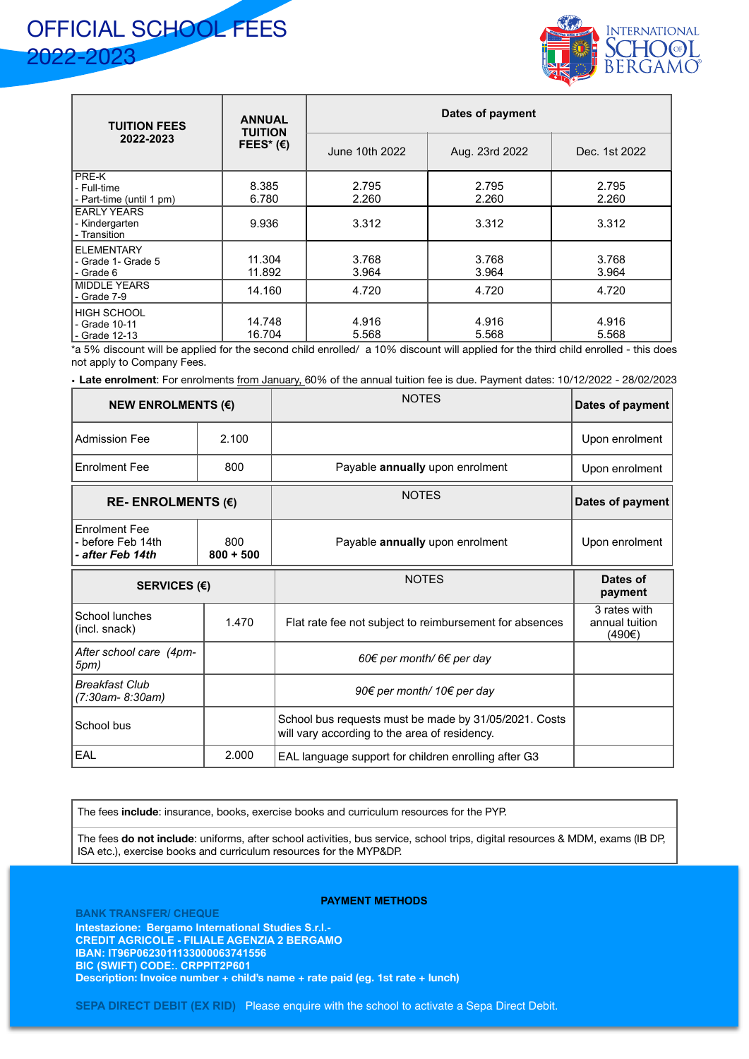



| <b>TUITION FEES</b><br>2022-2023                        | <b>ANNUAL</b><br><b>TUITION</b><br>FEES* $(E)$ | Dates of payment |                |                |  |
|---------------------------------------------------------|------------------------------------------------|------------------|----------------|----------------|--|
|                                                         |                                                | June 10th 2022   | Aug. 23rd 2022 | Dec. 1st 2022  |  |
| <b>PRE-K</b><br>- Full-time<br>- Part-time (until 1 pm) | 8.385<br>6.780                                 | 2.795<br>2.260   | 2.795<br>2.260 | 2.795<br>2.260 |  |
| <b>EARLY YEARS</b><br>- Kindergarten<br>- Transition    | 9.936                                          | 3.312            | 3.312          | 3.312          |  |
| <b>IELEMENTARY</b><br>- Grade 1- Grade 5<br>l - Grade 6 | 11.304<br>11.892                               | 3.768<br>3.964   | 3.768<br>3.964 | 3.768<br>3.964 |  |
| <b>MIDDLE YEARS</b><br>- Grade 7-9                      | 14.160                                         | 4.720            | 4.720          | 4.720          |  |
| I HIGH SCHOOL<br>- Grade 10-11<br>- Grade 12-13         | 14.748<br>16.704                               | 4.916<br>5.568   | 4.916<br>5.568 | 4.916<br>5.568 |  |

\*a 5% discount will be applied for the second child enrolled/ a 10% discount will applied for the third child enrolled - this does not apply to Company Fees.

• **Late enrolment**: For enrolments from January, 60% of the annual tuition fee is due. Payment dates: 10/12/2022 - 28/02/2023

| NEW ENROLMENTS $(E)$                                        |                    | <b>NOTES</b>                                                                                           | Dates of payment                         |
|-------------------------------------------------------------|--------------------|--------------------------------------------------------------------------------------------------------|------------------------------------------|
| <b>Admission Fee</b>                                        | 2.100              |                                                                                                        | Upon enrolment                           |
| <b>Enrolment Fee</b>                                        | 800                | Payable annually upon enrolment                                                                        | Upon enrolment                           |
| RE-ENROLMENTS $(E)$                                         |                    | <b>NOTES</b>                                                                                           | Dates of payment                         |
| <b>Enrolment Fee</b><br>before Feb 14th<br>- after Feb 14th | 800<br>$800 + 500$ | Payable annually upon enrolment                                                                        | Upon enrolment                           |
| SERVICES $(E)$                                              |                    | <b>NOTES</b>                                                                                           | Dates of<br>payment                      |
| School lunches<br>(incl. snack)                             | 1.470              | Flat rate fee not subject to reimbursement for absences                                                | 3 rates with<br>annual tuition<br>(490€) |
| After school care (4pm-<br>5pm)                             |                    | 60€ per month/ 6€ per day                                                                              |                                          |
| Breakfast Club<br>(7:30am- 8:30am)                          |                    | 90€ per month/ 10€ per day                                                                             |                                          |
| School bus                                                  |                    | School bus requests must be made by 31/05/2021. Costs<br>will vary according to the area of residency. |                                          |
| EAL                                                         | 2.000              | EAL language support for children enrolling after G3                                                   |                                          |

The fees **include**: insurance, books, exercise books and curriculum resources for the PYP.

The fees **do not include**: uniforms, after school activities, bus service, school trips, digital resources & MDM, exams (IB DP, ISA etc.), exercise books and curriculum resources for the MYP&DP.

**PAYMENT METHODS**

**BANK TRANSFER/ CHEQUE Intestazione: Bergamo International Studies S.r.l.- CREDIT AGRICOLE - FILIALE AGENZIA 2 BERGAMO IBAN: IT96P0623011133000063741556 BIC (SWIFT) CODE:. CRPPIT2P601 Description: Invoice number + child's name + rate paid (eg. 1st rate + lunch)**

**SEPA DIRECT DEBIT (EX RID)** Please enquire with the school to activate a Sepa Direct Debit.